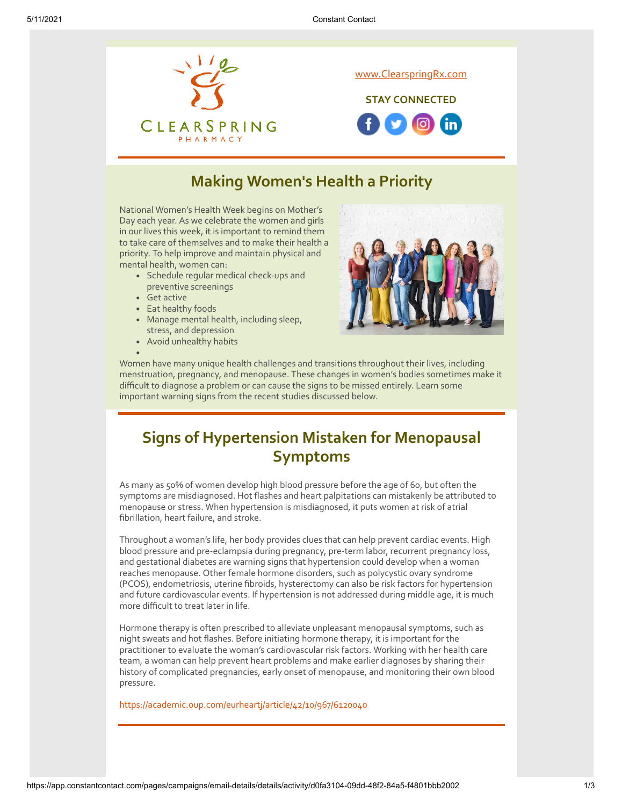

## **Making Women's Health a Priority**

National Women's Health Week begins on Mother's Day each year. As we celebrate the women and girls in our lives this week, it is important to remind them to take care of themselves and to make their health a priority. To help improve and maintain physical and mental health, women can:

- Schedule regular medical check-ups and preventive screenings
- Get active
- Eat healthy foods
- Manage mental health, including sleep, stress, and depression
- Avoid unhealthy habits



Women have many unique health challenges and transitions throughout their lives, including menstruation, pregnancy, and menopause. These changes in women's bodies sometimes make it difficult to diagnose a problem or can cause the signs to be missed entirely. Learn some important warning signs from the recent studies discussed below.

# **Signs of Hypertension Mistaken for Menopausal Symptoms**

As many as 50% of women develop high blood pressure before the age of 60, but often the symptoms are misdiagnosed. Hot flashes and heart palpitations can mistakenly be attributed to menopause or stress. When hypertension is misdiagnosed, it puts women at risk of atrial fibrillation, heart failure, and stroke.

Throughout a woman's life, her body provides clues that can help prevent cardiac events. High blood pressure and pre-eclampsia during pregnancy, pre-term labor, recurrent pregnancy loss, and gestational diabetes are warning signs that hypertension could develop when a woman reaches menopause. Other female hormone disorders, such as polycystic ovary syndrome (PCOS), endometriosis, uterine fibroids, hysterectomy can also be risk factors for hypertension and future cardiovascular events. If hypertension is not addressed during middle age, it is much more difficult to treat later in life.

Hormone therapy is often prescribed to alleviate unpleasant menopausal symptoms, such as night sweats and hot flashes. Before initiating hormone therapy, it is important for the practitioner to evaluate the woman's cardiovascular risk factors. Working with her health care team, a woman can help prevent heart problems and make earlier diagnoses by sharing their history of complicated pregnancies, early onset of menopause, and monitoring their own blood pressure.

<https://academic.oup.com/eurheartj/article/42/10/967/6120040>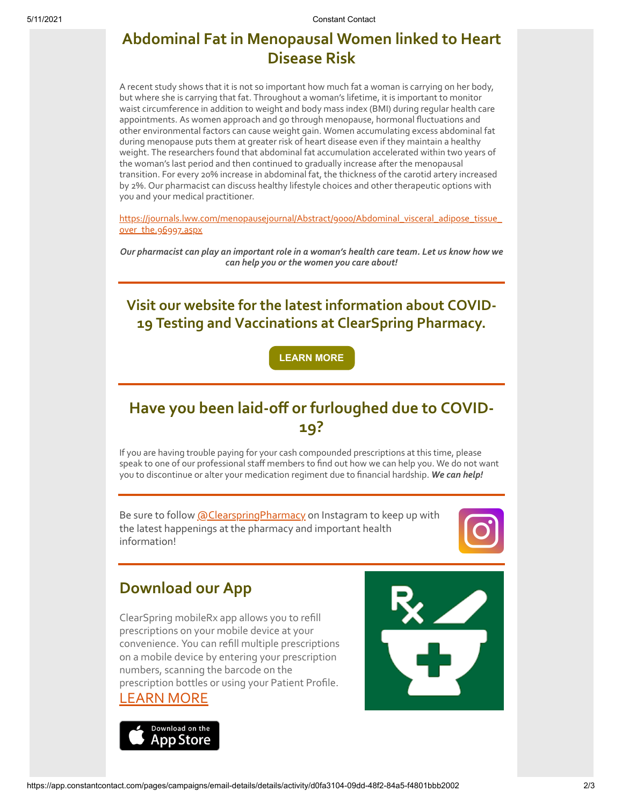## **Abdominal Fat in Menopausal Women linked to Heart Disease Risk**

A recent study shows that it is not so important how much fat a woman is carrying on her body, but where she is carrying that fat. Throughout a woman's lifetime, it is important to monitor waist circumference in addition to weight and body mass index (BMI) during regular health care appointments. As women approach and go through menopause, hormonal fluctuations and other environmental factors can cause weight gain. Women accumulating excess abdominal fat during menopause puts them at greater risk of heart disease even if they maintain a healthy weight. The researchers found that abdominal fat accumulation accelerated within two years of the woman's last period and then continued to gradually increase after the menopausal transition. For every 20% increase in abdominal fat, the thickness of the carotid artery increased by 2%. Our pharmacist can discuss healthy lifestyle choices and other therapeutic options with you and your medical practitioner.

[https://journals.lww.com/menopausejournal/Abstract/9000/Abdominal\\_visceral\\_adipose\\_tissue\\_](https://journals.lww.com/menopausejournal/Abstract/9000/Abdominal_visceral_adipose_tissue_over_the.96997.aspx) over\_the.96997.aspx

*Our pharmacist can play an important role in a woman's health care team. Let us know how we can help you or the women you care about!*

**Visit our website for the latest information about COVID-19 Testing and Vaccinations at ClearSpring Pharmacy.**

**[LEARN MORE](https://clearspringrx.com/covid-19.php)**

# **Have you been laid-off or furloughed due to COVID-19?**

If you are having trouble paying for your cash compounded prescriptions at this time, please speak to one of our professional staff members to find out how we can help you. We do not want you to discontinue or alter your medication regiment due to financial hardship. *We can help!*

Be sure to follow [@ClearspringPharmacy](https://www.instagram.com/clearspringpharmacy/) on Instagram to keep up with the latest happenings at the pharmacy and important health information!



### **Download our App**

ClearSpring mobileRx app allows you to refill prescriptions on your mobile device at your convenience. You can refill multiple prescriptions on a mobile device by entering your prescription numbers, scanning the barcode on the prescription bottles or using your Patient Profile.

#### [LEARN MORE](https://clearspringrx.com/app.php)